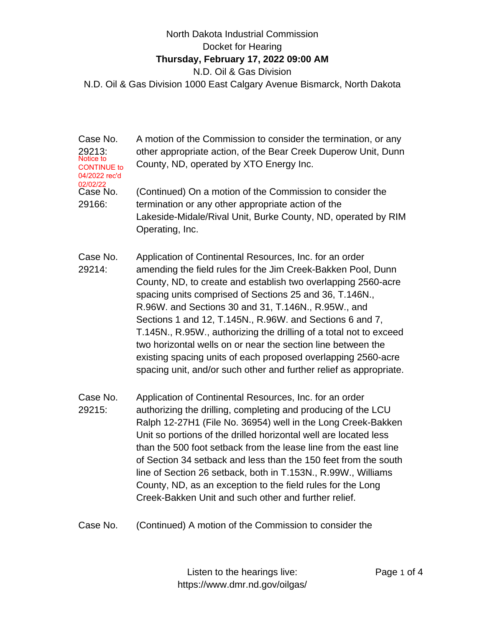## North Dakota Industrial Commission Docket for Hearing **Thursday, February 17, 2022 09:00 AM** N.D. Oil & Gas Division

N.D. Oil & Gas Division 1000 East Calgary Avenue Bismarck, North Dakota

Case No. 29213: A motion of the Commission to consider the termination, or any other appropriate action, of the Bear Creek Duperow Unit, Dunn County, ND, operated by XTO Energy Inc. Case No. 29166: (Continued) On a motion of the Commission to consider the termination or any other appropriate action of the Lakeside-Midale/Rival Unit, Burke County, ND, operated by RIM Operating, Inc. Case No. 29214: Application of Continental Resources, Inc. for an order amending the field rules for the Jim Creek-Bakken Pool, Dunn County, ND, to create and establish two overlapping 2560-acre spacing units comprised of Sections 25 and 36, T.146N., R.96W. and Sections 30 and 31, T.146N., R.95W., and Sections 1 and 12, T.145N., R.96W. and Sections 6 and 7, T.145N., R.95W., authorizing the drilling of a total not to exceed two horizontal wells on or near the section line between the existing spacing units of each proposed overlapping 2560-acre spacing unit, and/or such other and further relief as appropriate. Case No. 29215: Application of Continental Resources, Inc. for an order authorizing the drilling, completing and producing of the LCU Ralph 12-27H1 (File No. 36954) well in the Long Creek-Bakken Unit so portions of the drilled horizontal well are located less than the 500 foot setback from the lease line from the east line of Section 34 setback and less than the 150 feet from the south line of Section 26 setback, both in T.153N., R.99W., Williams County, ND, as an exception to the field rules for the Long Creek-Bakken Unit and such other and further relief. Notice to CONTINUE to 04/2022 rec'd 02/02/22

Case No. (Continued) A motion of the Commission to consider the

Listen to the hearings live: https://www.dmr.nd.gov/oilgas/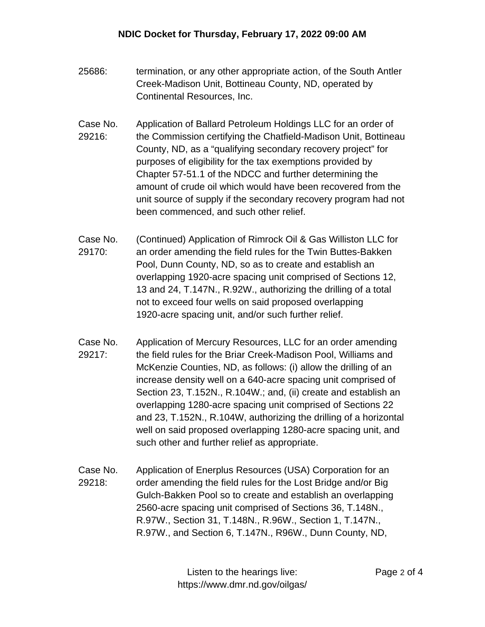- 25686: termination, or any other appropriate action, of the South Antler Creek-Madison Unit, Bottineau County, ND, operated by Continental Resources, Inc.
- Case No. 29216: Application of Ballard Petroleum Holdings LLC for an order of the Commission certifying the Chatfield-Madison Unit, Bottineau County, ND, as a "qualifying secondary recovery project" for purposes of eligibility for the tax exemptions provided by Chapter 57-51.1 of the NDCC and further determining the amount of crude oil which would have been recovered from the unit source of supply if the secondary recovery program had not been commenced, and such other relief.
- Case No. 29170: (Continued) Application of Rimrock Oil & Gas Williston LLC for an order amending the field rules for the Twin Buttes-Bakken Pool, Dunn County, ND, so as to create and establish an overlapping 1920-acre spacing unit comprised of Sections 12, 13 and 24, T.147N., R.92W., authorizing the drilling of a total not to exceed four wells on said proposed overlapping 1920-acre spacing unit, and/or such further relief.
- Case No. 29217: Application of Mercury Resources, LLC for an order amending the field rules for the Briar Creek-Madison Pool, Williams and McKenzie Counties, ND, as follows: (i) allow the drilling of an increase density well on a 640-acre spacing unit comprised of Section 23, T.152N., R.104W.; and, (ii) create and establish an overlapping 1280-acre spacing unit comprised of Sections 22 and 23, T.152N., R.104W, authorizing the drilling of a horizontal well on said proposed overlapping 1280-acre spacing unit, and such other and further relief as appropriate.
- Case No. 29218: Application of Enerplus Resources (USA) Corporation for an order amending the field rules for the Lost Bridge and/or Big Gulch-Bakken Pool so to create and establish an overlapping 2560-acre spacing unit comprised of Sections 36, T.148N., R.97W., Section 31, T.148N., R.96W., Section 1, T.147N., R.97W., and Section 6, T.147N., R96W., Dunn County, ND,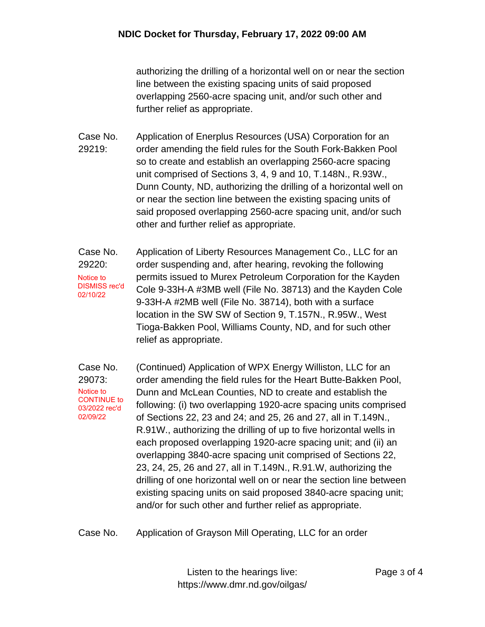authorizing the drilling of a horizontal well on or near the section line between the existing spacing units of said proposed overlapping 2560-acre spacing unit, and/or such other and further relief as appropriate.

- Case No. 29219: Application of Enerplus Resources (USA) Corporation for an order amending the field rules for the South Fork-Bakken Pool so to create and establish an overlapping 2560-acre spacing unit comprised of Sections 3, 4, 9 and 10, T.148N., R.93W., Dunn County, ND, authorizing the drilling of a horizontal well on or near the section line between the existing spacing units of said proposed overlapping 2560-acre spacing unit, and/or such other and further relief as appropriate.
- Case No. 29220: Application of Liberty Resources Management Co., LLC for an order suspending and, after hearing, revoking the following permits issued to Murex Petroleum Corporation for the Kayden Cole 9-33H-A #3MB well (File No. 38713) and the Kayden Cole 9-33H-A #2MB well (File No. 38714), both with a surface location in the SW SW of Section 9, T.157N., R.95W., West Tioga-Bakken Pool, Williams County, ND, and for such other relief as appropriate. Notice to DISMISS rec'd 02/10/22

Case No. 29073: (Continued) Application of WPX Energy Williston, LLC for an order amending the field rules for the Heart Butte-Bakken Pool, Dunn and McLean Counties, ND to create and establish the following: (i) two overlapping 1920-acre spacing units comprised of Sections 22, 23 and 24; and 25, 26 and 27, all in T.149N., R.91W., authorizing the drilling of up to five horizontal wells in each proposed overlapping 1920-acre spacing unit; and (ii) an overlapping 3840-acre spacing unit comprised of Sections 22, 23, 24, 25, 26 and 27, all in T.149N., R.91.W, authorizing the drilling of one horizontal well on or near the section line between existing spacing units on said proposed 3840-acre spacing unit; and/or for such other and further relief as appropriate. Notice to CONTINUE to 03/2022 rec'd 02/09/22

Case No. Application of Grayson Mill Operating, LLC for an order